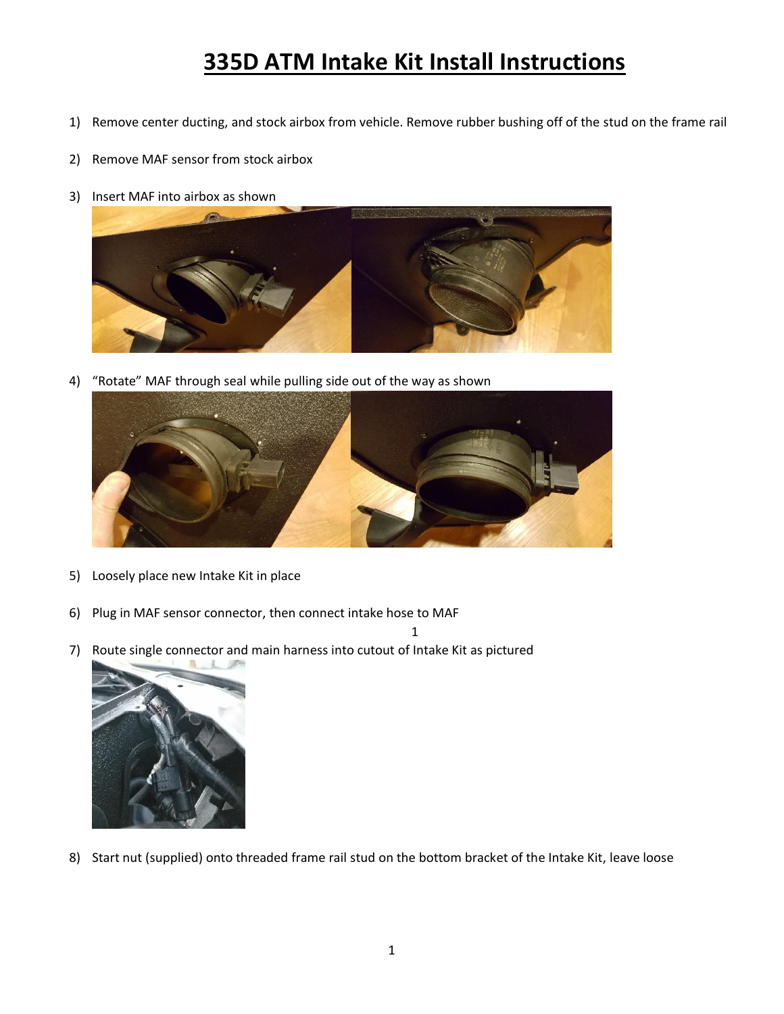## **335D ATM Intake Kit Install Instructions**

- 1) Remove center ducting, and stock airbox from vehicle. Remove rubber bushing off of the stud on the frame rail
- 2) Remove MAF sensor from stock airbox
- 3) Insert MAF into airbox as shown



4) "Rotate" MAF through seal while pulling side out of the way as shown



- 5) Loosely place new Intake Kit in place
- 6) Plug in MAF sensor connector, then connect intake hose to MAF
- 7) Route single connector and main harness into cutout of Intake Kit as pictured



8) Start nut (supplied) onto threaded frame rail stud on the bottom bracket of the Intake Kit, leave loose

1